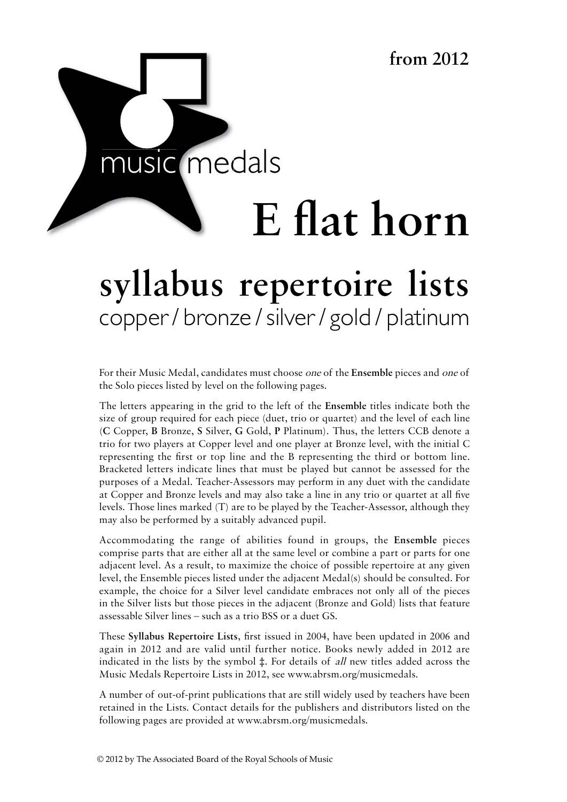

# syllabus repertoire lists copper / bronze / silver / gold / platinum syllabus handbook

For their Music Medal, candidates must choose *one* of the Ensemble pieces and *one* of the Solo pieces listed by level on the following pages.

The letters appearing in the grid to the left of the **Ensemble** titles indicate both the size of group required for each piece (duet, trio or quartet) and the level of each line (**C** Copper, **B** Bronze, **S** Silver, **G** Gold, **P** Platinum). Thus, the letters CCB denote a trio for two players at Copper level and one player at Bronze level, with the initial C representing the first or top line and the B representing the third or bottom line. Bracketed letters indicate lines that must be played but cannot be assessed for the purposes of a Medal. Teacher-Assessors may perform in any duet with the candidate at Copper and Bronze levels and may also take a line in any trio or quartet at all five levels. Those lines marked (T) are to be played by the Teacher-Assessor, although they may also be performed by a suitably advanced pupil.

Accommodating the range of abilities found in groups, the **Ensemble** pieces comprise parts that are either all at the same level or combine a part or parts for one adjacent level. As a result, to maximize the choice of possible repertoire at any given level, the Ensemble pieces listed under the adjacent Medal(s) should be consulted. For example, the choice for a Silver level candidate embraces not only all of the pieces in the Silver lists but those pieces in the adjacent (Bronze and Gold) lists that feature assessable Silver lines – such as a trio BSS or a duet GS.

These **Syllabus Repertoire Lists**, first issued in 2004, have been updated in 2006 and again in 2012 and are valid until further notice. Books newly added in 2012 are indicated in the lists by the symbol ‡. For details of all new titles added across the Music Medals Repertoire Lists in 2012, see www.abrsm.org/musicmedals.

A number of out-of-print publications that are still widely used by teachers have been retained in the Lists. Contact details for the publishers and distributors listed on the following pages are provided at www.abrsm.org/musicmedals.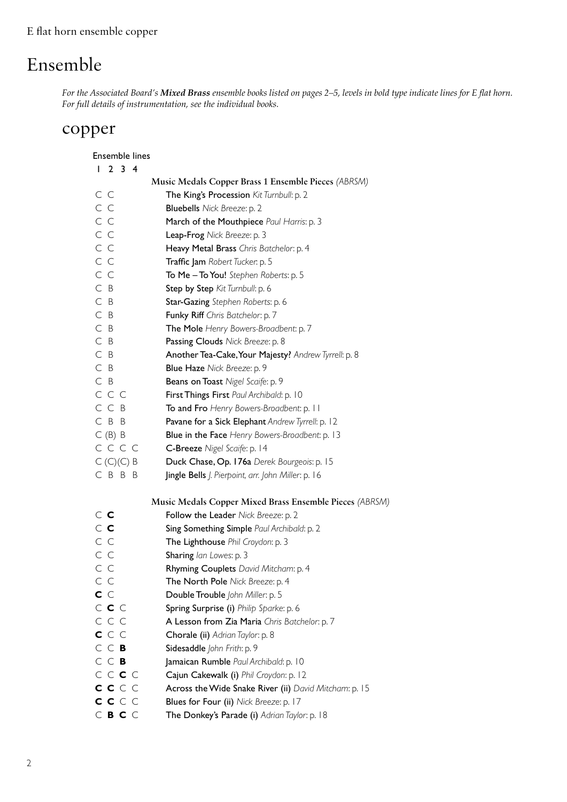# Ensemble

*For the Associated Board's Mixed Brass ensemble books listed on pages 2–5, levels in bold type indicate lines for E flat horn. For full details of instrumentation, see the individual books.*

### copper

| <b>Ensemble lines</b> |                                                         |
|-----------------------|---------------------------------------------------------|
| 1234                  |                                                         |
|                       | Music Medals Copper Brass 1 Ensemble Pieces (ABRSM)     |
| C C                   | The King's Procession Kit Turnbull: p. 2                |
| C C                   | <b>Bluebells</b> Nick Breeze: p. 2                      |
| C C                   | March of the Mouthpiece Paul Harris: p. 3               |
| C C                   | Leap-Frog Nick Breeze: p. 3                             |
| C C                   | Heavy Metal Brass Chris Batchelor: p. 4                 |
| C C                   | Traffic Jam Robert Tucker: p. 5                         |
| C C                   | To Me - To You! Stephen Roberts: p. 5                   |
| C B                   | Step by Step Kit Turnbull: p. 6                         |
| C B                   | Star-Gazing Stephen Roberts: p. 6                       |
| C B                   | Funky Riff Chris Batchelor: p. 7                        |
| C B                   | The Mole Henry Bowers-Broadbent: p. 7                   |
| $C$ B                 | Passing Clouds Nick Breeze: p. 8                        |
| C B                   | Another Tea-Cake, Your Majesty? Andrew Tyrrell: p. 8    |
| C B                   | Blue Haze Nick Breeze: p. 9                             |
| $C$ B                 | Beans on Toast Nigel Scaife: p. 9                       |
| CCC                   | First Things First Paul Archibald: p. 10                |
| CCB                   | To and Fro Henry Bowers-Broadbent: p. 11                |
| C B B                 | Pavane for a Sick Elephant Andrew Tyrrell: p. 12        |
| C(B) B                | <b>Blue in the Face</b> Henry Bowers-Broadbent: p. 13   |
| C C C C               | C-Breeze Nigel Scaife: p. 14                            |
| $C(C)(C)$ B           | Duck Chase, Op. 176a Derek Bourgeois: p. 15             |
| CBBB                  | Jingle Bells J. Pierpoint, arr. John Miller: p. 16      |
|                       | Music Medals Copper Mixed Brass Ensemble Pieces (ABRSM) |
| $\subset$ $\subset$   | Follow the Leader Nick Breeze: p. 2                     |
| $\subset$ $\subset$   | Sing Something Simple Paul Archibald: p. 2              |
| C C                   | The Lighthouse Phil Croydon: p. 3                       |
| C C                   | Sharing lan Lowes: p. 3                                 |
| C C                   | Rhyming Couplets David Mitcham: p. 4                    |
| СC                    | The North Pole Nick Breeze: p. 4                        |
| C C                   | Double Trouble John Miller: p. 5                        |
| $C$ $C$ $C$           | Spring Surprise (i) Philip Sparke: p. 6                 |
| CCC                   | A Lesson from Zia Maria Chris Batchelor: p. 7           |
| C C C                 | Chorale (ii) Adrian Taylor: p. 8                        |
| C C B                 | Sidesaddle John Frith: p. 9                             |
| C C B                 | Jamaican Rumble Paul Archibald: p. 10                   |
| C C C C               | Cajun Cakewalk (i) Phil Croydon: p. 12                  |
| c c c c               | Across the Wide Snake River (ii) David Mitcham: p. 15   |
| c c c c               | Blues for Four (ii) Nick Breeze: p. 17                  |
| $C$ B C $C$           | The Donkey's Parade (i) Adrian Taylor: p. 18            |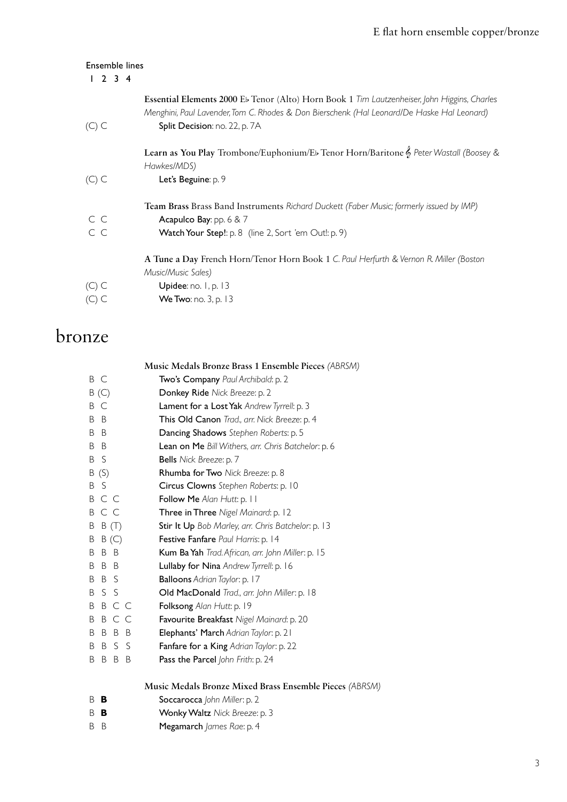| <b>Ensemble lines</b><br>$2 \t3 \t4$ |                                                                                                                                                                                            |
|--------------------------------------|--------------------------------------------------------------------------------------------------------------------------------------------------------------------------------------------|
|                                      | Essential Elements 2000 Eb Tenor (Alto) Horn Book 1 Tim Lautzenheiser, John Higgins, Charles<br>Menghini, Paul Lavender, Tom C. Rhodes & Don Bierschenk (Hal Leonard/De Haske Hal Leonard) |
| $(C)$ C                              | Split Decision: no. 22, p. 7A                                                                                                                                                              |
|                                      | Learn as You Play Trombone/Euphonium/Eb Tenor Horn/Baritone & Peter Wastall (Boosey &<br>Hawkes/MDS)                                                                                       |
| $(C)$ C                              | Let's Beguine: p. 9                                                                                                                                                                        |
|                                      | Team Brass Brass Band Instruments Richard Duckett (Faber Music; formerly issued by IMP)                                                                                                    |
| C C                                  | Acapulco Bay: pp. $6 & 7$                                                                                                                                                                  |
| C C                                  | Watch Your Step!: p. 8 (line 2, Sort 'em Out!: p. 9)                                                                                                                                       |
|                                      | A Tune a Day French Horn/Tenor Horn Book 1 C. Paul Herfurth & Vernon R. Miller (Boston                                                                                                     |
|                                      | Music/Music Sales)                                                                                                                                                                         |
| $(C)$ C                              | Upidee: no. 1, p. 13                                                                                                                                                                       |
|                                      | We Two: no. 3, p. 13                                                                                                                                                                       |
|                                      |                                                                                                                                                                                            |

## bronze

|                    | Music Medals Bronze Brass 1 Ensemble Pieces (ABRSM) |
|--------------------|-----------------------------------------------------|
| ВC                 | Two's Company Paul Archibald: p. 2                  |
| B(C)               | Donkey Ride Nick Breeze: p. 2                       |
| C<br>B             | Lament for a Lost Yak Andrew Tyrrell: p. 3          |
| B<br>B             | This Old Canon Trad., arr. Nick Breeze: p. 4        |
| B<br>B             | Dancing Shadows Stephen Roberts: p. 5               |
| B<br>B             | Lean on Me Bill Withers, arr. Chris Batchelor: p. 6 |
| -S<br>B            | Bells Nick Breeze: p. 7                             |
| B(S)               | Rhumba for Two Nick Breeze: p. 8                    |
| S<br>B             | Circus Clowns Stephen Roberts: p. 10                |
| B C C              | Follow Me Alan Hutt: p. 11                          |
| C C<br>B           | Three in Three Nigel Mainard: p. 12                 |
| Β<br>B(T)          | Stir It Up Bob Marley, arr. Chris Batchelor: p. 13  |
| Β<br>B(C)          | Festive Fanfare Paul Harris: p. 14                  |
| B B<br>B           | Kum Ba Yah Trad. African, arr. John Miller: p. 15   |
| B<br>B B           | Lullaby for Nina Andrew Tyrrell: p. 16              |
| B S<br>B           | Balloons Adrian Taylor: p. 17                       |
| S S<br>B           | Old MacDonald Trad., arr. John Miller: p. 18        |
| B C C<br>B         | Folksong Alan Hutt: p. 19                           |
| C C<br>B<br>B      | Favourite Breakfast Nigel Mainard: p. 20            |
| B<br>- B<br>B<br>B | Elephants' March Adrian Taylor: p. 21               |
| B<br>B<br>S<br>-S  | Fanfare for a King Adrian Taylor: p. 22             |
| Β<br>B<br>B<br>B   | Pass the Parcel John Frith: p. 24                   |
|                    |                                                     |

### **Music Medals Bronze Mixed Brass Ensemble Pieces** *(ABRSM)*

- B **B** Soccarocca *John Miller*: p. 2
- B **B** Wonky Waltz *Nick Breeze*: p. 3
- B B Megamarch *James Rae*: p. 4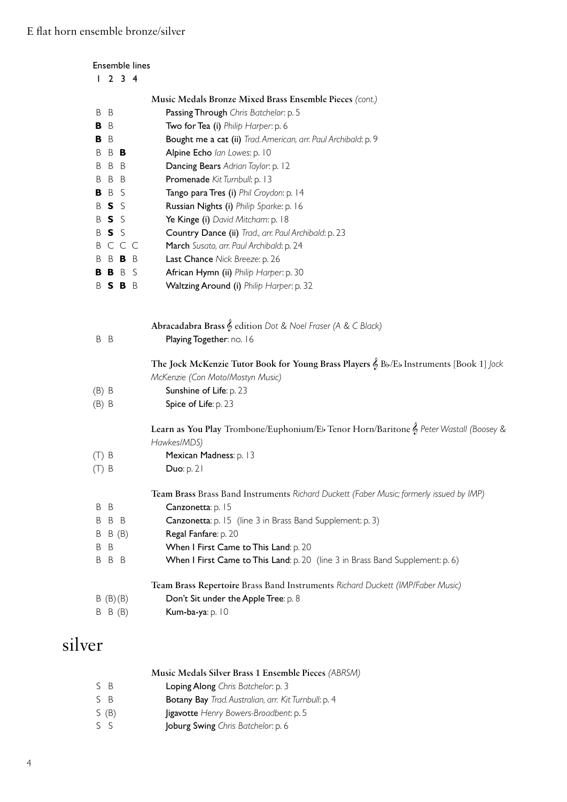| 1234                          |                                                                                                      |
|-------------------------------|------------------------------------------------------------------------------------------------------|
|                               | Music Medals Bronze Mixed Brass Ensemble Pieces (cont.)                                              |
| B B                           | Passing Through Chris Batchelor: p. 5                                                                |
| B B                           | Two for Tea (i) Philip Harper: p. 6                                                                  |
| B B                           | Bought me a cat (ii) Trad. American, arr. Paul Archibald: p. 9                                       |
| B<br>B B                      | Alpine Echo lan Lowes: p. 10                                                                         |
| B<br>B<br>B                   | Dancing Bears Adrian Taylor: p. 12                                                                   |
| B<br>B<br>B                   | Promenade Kit Turnbull: p. 13                                                                        |
| B<br>S<br>В                   | Tango para Tres (i) Phil Croydon: p. 14                                                              |
| S<br>B<br>-S                  | Russian Nights (i) Philip Sparke: p. 16                                                              |
| $S_S$<br>B                    | Ye Kinge (i) David Mitcham: p. 18                                                                    |
| $S_S$<br>B                    | Country Dance (ii) Trad., arr. Paul Archibald: p. 23                                                 |
| C C C<br>B                    | March Susato, arr. Paul Archibald: p. 24                                                             |
| B B B<br>B                    | Last Chance Nick Breeze: p. 26                                                                       |
| <b>BBBS</b>                   | African Hymn (ii) Philip Harper: p. 30                                                               |
| BSBB                          | Waltzing Around (i) Philip Harper: p. 32                                                             |
|                               | The Jock McKenzie Tutor Book for Young Brass Players & Bb/Eb Instruments [Book 1] Jock               |
|                               |                                                                                                      |
|                               |                                                                                                      |
|                               | McKenzie (Con Moto/Mostyn Music)                                                                     |
|                               | Sunshine of Life: p. 23                                                                              |
|                               | Spice of Life: p. 23                                                                                 |
|                               | Learn as You Play Trombone/Euphonium/Eb Tenor Horn/Baritone & Peter Wastall (Boosey &<br>Hawkes/MDS) |
| $(B)$ B<br>$(B)$ B<br>$(T)$ B | Mexican Madness: p. 13                                                                               |
| $(T)$ B                       | Duo: $p. 21$                                                                                         |
|                               | Team Brass Brass Band Instruments Richard Duckett (Faber Music; formerly issued by IMP)              |
| B<br>B                        | Canzonetta: p. 15                                                                                    |
| B<br>B<br>B                   | Canzonetta: p. 15 (line 3 in Brass Band Supplement: p. 3)                                            |
| B(B)<br>B                     | Regal Fanfare: p. 20                                                                                 |
| B<br>B                        | When I First Came to This Land: p. 20                                                                |
| B B<br>B                      | When I First Came to This Land: p. 20 (line 3 in Brass Band Supplement: p. 6)                        |
|                               | Team Brass Repertoire Brass Band Instruments Richard Duckett (IMP/Faber Music)                       |
| B(B)(B)                       | Don't Sit under the Apple Tree: p. 8                                                                 |

## silver

| Music Medals Silver Brass 1 Ensemble Pieces (ABRSM) |  |  |
|-----------------------------------------------------|--|--|
|-----------------------------------------------------|--|--|

- S B Loping Along *Chris Batchelor*: p. 3
- S B Botany Bay *Trad. Australian, arr. Kit Turnbull*: p. 4
- S (B) Jigavotte *Henry Bowers-Broadbent*: p. 5
- S S Joburg Swing *Chris Batchelor*: p. 6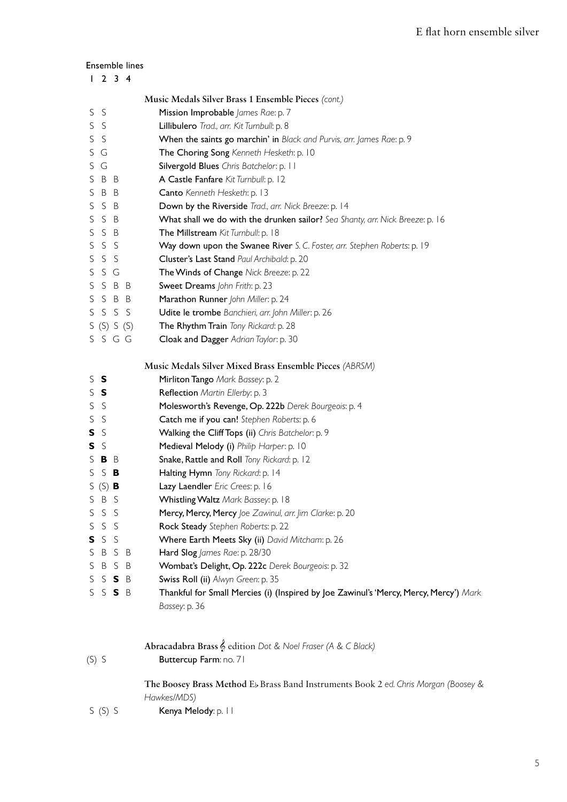### Ensemble lines

|                    | Music Medals Silver Brass 1 Ensemble Pieces (cont.)                                   |
|--------------------|---------------------------------------------------------------------------------------|
| <sub>S</sub><br>S. | Mission Improbable James Rae: p. 7                                                    |
| S S                | Lillibulero Trad., arr. Kit Turnbull: p. 8                                            |
| S<br>S             | When the saints go marchin' in Black and Purvis, arr. James Rae: p. 9                 |
| S G                | The Choring Song Kenneth Hesketh: p. 10                                               |
| S G                | Silvergold Blues Chris Batchelor: p. 11                                               |
| S<br>B B           | A Castle Fanfare Kit Turnbull: p. 12                                                  |
| S<br>B B           | Canto Kenneth Hesketh: p. 13                                                          |
| S S B              | Down by the Riverside Trad., arr. Nick Breeze: p. 14                                  |
| S<br>S B           | What shall we do with the drunken sailor? Sea Shanty, arr. Nick Breeze: p. 16         |
| S S B              | The Millstream Kit Turnbull: p. 18                                                    |
| S S S              | Way down upon the Swanee River S. C. Foster, arr. Stephen Roberts: p. 19              |
| S<br>S S           | Cluster's Last Stand Paul Archibald: p. 20                                            |
| SSG                | The Winds of Change Nick Breeze: p. 22                                                |
| SSBB               | Sweet Dreams John Frith: p. 23                                                        |
| S<br>S B B         | Marathon Runner John Miller: p. 24                                                    |
| SSSS               | Udite le trombe Banchieri, arr. John Miller: p. 26                                    |
| S(S) S(S)          | The Rhythm Train Tony Rickard: p. 28                                                  |
| SSGG               | Cloak and Dagger Adrian Taylor: p. 30                                                 |
|                    |                                                                                       |
|                    | Music Medals Silver Mixed Brass Ensemble Pieces (ABRSM)                               |
| $S$ $S$            | Mirliton Tango Mark Bassey: p. 2                                                      |
| $S$ $S$            | Reflection Martin Ellerby: p. 3                                                       |
| S S                | Molesworth's Revenge, Op. 222b Derek Bourgeois: p. 4                                  |
| S<br>-S            | Catch me if you can! Stephen Roberts: p. 6                                            |
| S S                | Walking the Cliff Tops (ii) Chris Batchelor: p. 9                                     |
| S S                | Medieval Melody (i) Philip Harper: p. 10                                              |
| SBB                | Snake, Rattle and Roll Tony Rickard: p. 12                                            |
| S.<br>S B          | Halting Hymn Tony Rickard: p. 14                                                      |
| S $(S)$ <b>B</b>   | Lazy Laendler Eric Crees: p. 16                                                       |
| S<br>B S           | Whistling Waltz Mark Bassey: p. 18                                                    |
| S<br>S S           | Mercy, Mercy, Mercy Joe Zawinul, arr. Jim Clarke: p. 20                               |
| S<br>S S           | Rock Steady Stephen Roberts: p. 22                                                    |
| S S<br>s           | Where Earth Meets Sky (ii) David Mitcham: p. 26                                       |
| S<br>B S B         | Hard Slog James Rae: p. 28/30                                                         |
| S<br>B S B         | Wombat's Delight, Op. 222c Derek Bourgeois: p. 32                                     |
| S<br>SSB           | Swiss Roll (ii) Alwyn Green: p. 35                                                    |
| S S S B            | Thankful for Small Mercies (i) (Inspired by Joe Zawinul's 'Mercy, Mercy, Mercy') Mark |
|                    | Bassey: p. 36                                                                         |

**Abracadabra Brass** & edition *Dot & Noel Fraser (A & C Black)*

(S) S **Buttercup Farm**: no. 71

 **The Boosey Brass Method** Eb Brass Band Instruments Book 2 *ed. Chris Morgan (Boosey & Hawkes/MDS)*

S (S) S Kenya Melody: p. 11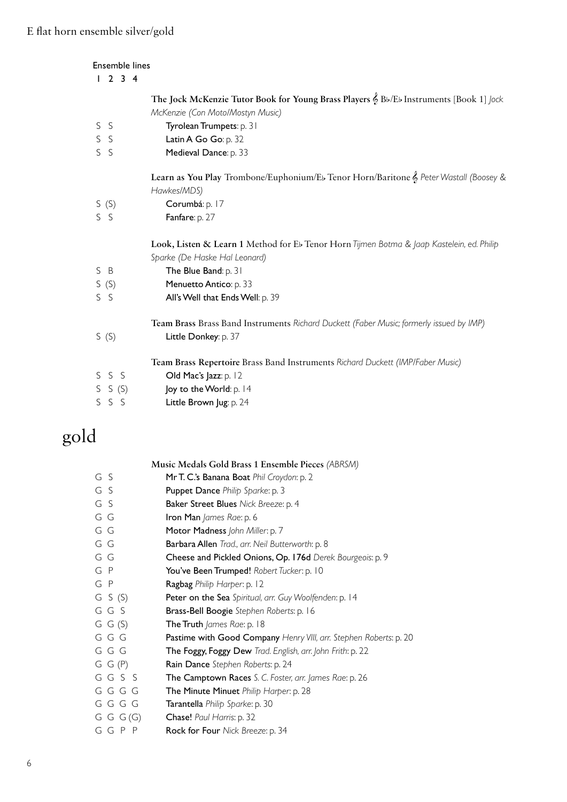| Ensemble lines<br>$2 \t3 \t4$<br>$\mathbf{I}$ |                                                                                           |
|-----------------------------------------------|-------------------------------------------------------------------------------------------|
|                                               | The Jock McKenzie Tutor Book for Young Brass Players & Bb/Eb Instruments [Book 1] Jock    |
|                                               | McKenzie (Con Moto/Mostyn Music)                                                          |
| S<br>-S                                       | Tyrolean Trumpets: p. 31                                                                  |
| $\mathsf{S}$<br><sub>S</sub>                  | Latin A Go Go: p. 32                                                                      |
| $\mathsf{S}$<br>S                             | Medieval Dance: p. 33                                                                     |
|                                               | Learn as You Play Trombone/Euphonium/Eb Tenor Horn/Baritone & Peter Wastall (Boosey &     |
|                                               | Hawkes/MDS)                                                                               |
| S(S)                                          | Corumbá: p. 17                                                                            |
| S S                                           | Fanfare: p. 27                                                                            |
|                                               | Look, Listen & Learn 1 Method for Eb Tenor Horn Tijmen Botma & Jaap Kastelein, ed. Philip |
|                                               | Sparke (De Haske Hal Leonard)                                                             |
| S B                                           | The Blue Band: p. 31                                                                      |
| S(S)                                          | Menuetto Antico: p. 33                                                                    |
| $S$ $S$                                       | All's Well that Ends Well: p. 39                                                          |
|                                               | Team Brass Brass Band Instruments Richard Duckett (Faber Music; formerly issued by IMP)   |
| S(S)                                          | Little Donkey: p. 37                                                                      |
|                                               | Team Brass Repertoire Brass Band Instruments Richard Duckett (IMP/Faber Music)            |
| S S<br>S.                                     | Old Mac's Jazz: p. 12                                                                     |
| S(S)<br>S                                     | Joy to the World: p. 14                                                                   |
| S<br>S.<br>-S                                 | Little Brown Jug: p. 24                                                                   |

# gold

|               | Music Medals Gold Brass 1 Ensemble Pieces (ABRSM)                 |
|---------------|-------------------------------------------------------------------|
| G S           | Mr T. C.'s Banana Boat Phil Croydon: p. 2                         |
| G S           | Puppet Dance Philip Sparke: p. 3                                  |
| G S           | Baker Street Blues Nick Breeze: p. 4                              |
| GG            | Iron Man James Rae: p. 6                                          |
| GG            | Motor Madness John Miller: p. 7                                   |
| G G           | Barbara Allen Trad., arr. Neil Butterworth: p. 8                  |
| GG            | Cheese and Pickled Onions, Op. 176d Derek Bourgeois: p. 9         |
| G P           | You've Been Trumped! Robert Tucker: p. 10                         |
| G P           | Ragbag Philip Harper: p. 12                                       |
| $G$ S $(S)$   | Peter on the Sea Spiritual, arr. Guy Woolfenden: p. 14            |
| GGS           | Brass-Bell Boogie Stephen Roberts: p. 16                          |
| $G$ $G$ $(S)$ | The Truth James Rae: p. 18                                        |
| GGG           | Pastime with Good Company Henry VIII, arr. Stephen Roberts: p. 20 |
| GGG           | The Foggy, Foggy Dew Trad. English, arr. John Frith: p. 22        |
| G G(P)        | Rain Dance Stephen Roberts: p. 24                                 |
| GGSS          | The Camptown Races S. C. Foster, arr. James Rae: p. 26            |
| GGGG          | The Minute Minuet Philip Harper: p. 28                            |
| GGGG          | Tarantella Philip Sparke: p. 30                                   |
| G G (G)       | Chase! Paul Harris: p. 32                                         |
| GGPP          | Rock for Four Nick Breeze: p. 34                                  |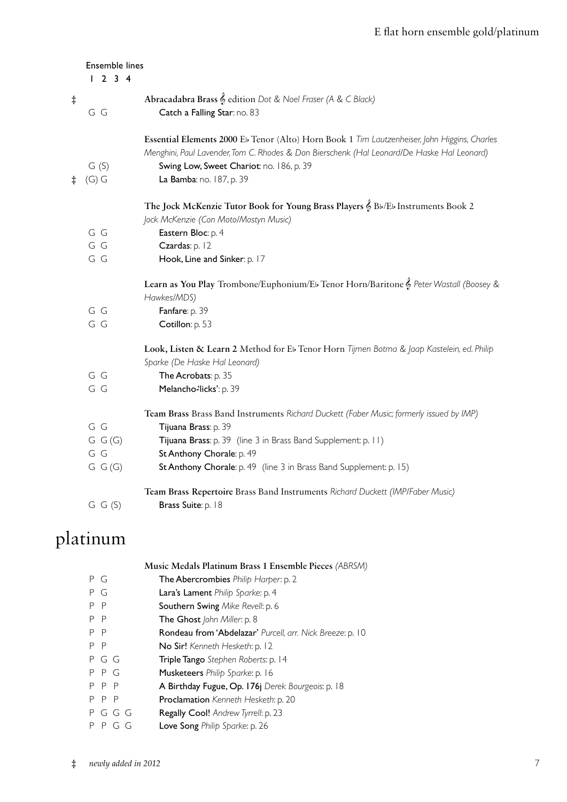|            | Ensemble lines<br>1234 |                                                                                                                                                                                                                                        |
|------------|------------------------|----------------------------------------------------------------------------------------------------------------------------------------------------------------------------------------------------------------------------------------|
| $\ddagger$ | G G                    | Abracadabra Brass & edition Dot & Noel Fraser (A & C Black)<br>Catch a Falling Star: no. 83                                                                                                                                            |
|            | G(S)                   | Essential Elements 2000 Eb Tenor (Alto) Horn Book 1 Tim Lautzenheiser, John Higgins, Charles<br>Menghini, Paul Lavender, Tom C. Rhodes & Don Bierschenk (Hal Leonard/De Haske Hal Leonard)<br>Swing Low, Sweet Chariot: no. 186, p. 39 |
| $\ddagger$ | $(G)$ G                | La Bamba: no. 187, p. 39                                                                                                                                                                                                               |
|            |                        | The Jock McKenzie Tutor Book for Young Brass Players & Bb/Eb Instruments Book 2<br>Jock McKenzie (Con Moto/Mostyn Music)                                                                                                               |
|            | G G                    | Eastern Bloc: p. 4                                                                                                                                                                                                                     |
|            | GG                     | Czardas: p. 12                                                                                                                                                                                                                         |
|            | G G                    | Hook, Line and Sinker: p. 17                                                                                                                                                                                                           |
|            |                        | Learn as You Play Trombone/Euphonium/Eb Tenor Horn/Baritone & Peter Wastall (Boosey &<br>Hawkes/MDS)                                                                                                                                   |
|            | G G                    | Fanfare: p. 39                                                                                                                                                                                                                         |
|            | G G                    | Cotillon: p. 53                                                                                                                                                                                                                        |
|            |                        | Look, Listen & Learn 2 Method for Eb Tenor Horn Tijmen Botma & Jaap Kastelein, ed. Philip<br>Sparke (De Haske Hal Leonard)                                                                                                             |
|            | G G                    | The Acrobats: p. 35                                                                                                                                                                                                                    |
|            | GG                     | Melancho-licks': p. 39                                                                                                                                                                                                                 |
|            |                        | Team Brass Brass Band Instruments Richard Duckett (Faber Music; formerly issued by IMP)                                                                                                                                                |
|            | G G                    | Tijuana Brass: p. 39                                                                                                                                                                                                                   |
|            | G G(G)                 | Tijuana Brass: p. 39 (line 3 in Brass Band Supplement: p. 11)                                                                                                                                                                          |
|            | G G                    | St Anthony Chorale: p. 49                                                                                                                                                                                                              |
|            | G G(G)                 | St Anthony Chorale: p. 49 (line 3 in Brass Band Supplement: p. 15)                                                                                                                                                                     |
|            | $G$ $G$ $(S)$          | Team Brass Repertoire Brass Band Instruments Richard Duckett (IMP/Faber Music)<br>Brass Suite: p. 18                                                                                                                                   |

# platinum

|                   | Music Medals Platinum Brass 1 Ensemble Pieces (ABRSM)     |
|-------------------|-----------------------------------------------------------|
| P G               | The Abercrombies Philip Harper: p. 2                      |
| P<br>G            | Lara's Lament Philip Sparke: p. 4                         |
| P<br>- P          | <b>Southern Swing Mike Revell: p. 6</b>                   |
| P<br>$\mathsf{P}$ | The Ghost John Miller: p. 8                               |
| $\mathsf{P}$<br>P | Rondeau from 'Abdelazar' Purcell, arr. Nick Breeze: p. 10 |
| P<br>P.           | No Sir! Kenneth Hesketh: p. 12                            |
| PGG               | Triple Tango Stephen Roberts: p. 14                       |
| PPG               | Musketeers Philip Sparke: p. 16                           |
| P P P             | A Birthday Fugue, Op. 176j Derek Bourgeois: p. 18         |
| P P P             | Proclamation Kenneth Hesketh: p. 20                       |
| P G G G           | Regally Cool! Andrew Tyrrell: p. 23                       |
| P G G             | Love Song Philip Sparke: p. 26                            |
|                   |                                                           |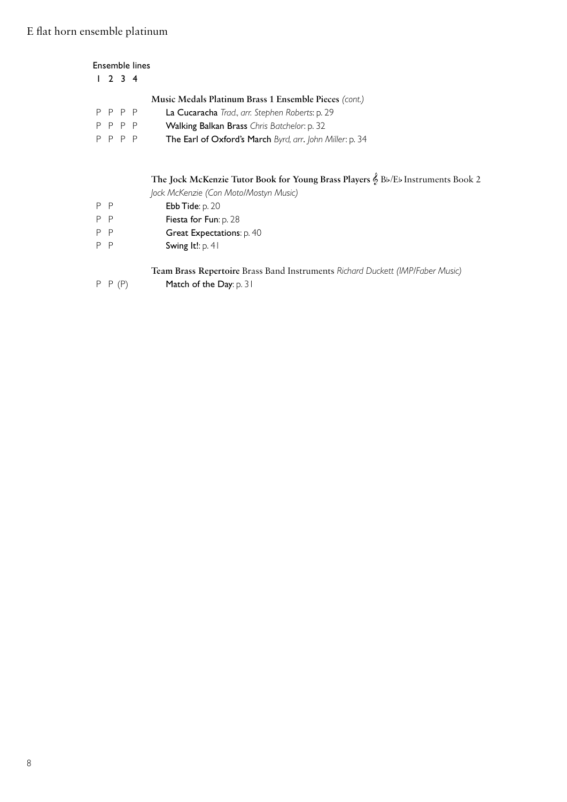### Ensemble lines

|  |         | Music Medals Platinum Brass 1 Ensemble Pieces (cont.)    |
|--|---------|----------------------------------------------------------|
|  | P P P P | La Cucaracha Trad., arr. Stephen Roberts: p. 29          |
|  | P P P P | Walking Balkan Brass Chris Batchelor: p. 32              |
|  | P P P P | The Earl of Oxford's March Byrd, arr. John Miller: p. 34 |

### **The Jock McKenzie Tutor Book for Young Brass Players** & Bb/Eb Instruments Book 2

*Jock McKenzie (Con Moto/Mostyn Music)*

- P P **Ebb Tide**: p. 20
- P P Fiesta for Fun: p. 28
- P P **Great Expectations**: p. 40
- P P Swing It!: p. 41

**Team Brass Repertoire** Brass Band Instruments *Richard Duckett (IMP/Faber Music)*

P P (P) Match of the Day: p. 31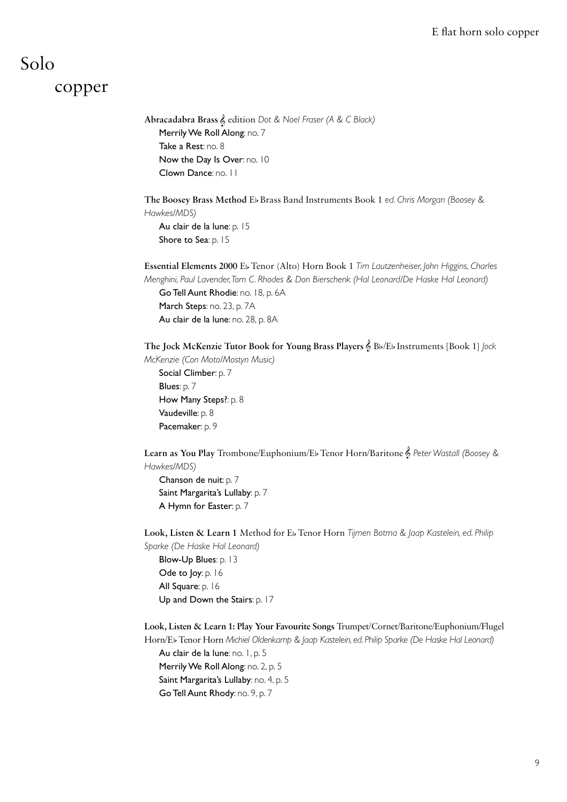## Solo

### copper

 **Abracadabra Brass** & edition *Dot & Noel Fraser (A & C Black)* Merrily We Roll Along: no. 7 Take a Rest: no. 8 Now the Day Is Over: no. 10 Clown Dance: no. 11

 **The Boosey Brass Method** EbBrass Band Instruments Book 1 *ed. Chris Morgan (Boosey & Hawkes/MDS)* Au clair de la lune: p. 15 Shore to Sea: p. 15

 **Essential Elements 2000** Eb Tenor (Alto) Horn Book 1 *Tim Lautzenheiser, John Higgins, Charles Menghini, Paul Lavender, Tom C. Rhodes & Don Bierschenk (Hal Leonard/De Haske Hal Leonard)* Go Tell Aunt Rhodie: no. 18, p. 6A March Steps: no. 23, p. 7A Au clair de la lune: no. 28, p. 8A

 **The Jock McKenzie Tutor Book for Young Brass Players** & Bb/Eb Instruments [Book 1] *Jock McKenzie (Con Moto/Mostyn Music)*

Social Climber: p. 7 Blues: p. 7 How Many Steps?: p. 8 Vaudeville: p. 8 Pacemaker: p. 9

 **Learn as You Play** Trombone/Euphonium/Eb Tenor Horn/Baritone & *Peter Wastall (Boosey & Hawkes/MDS)*

 Chanson de nuit: p. 7 Saint Margarita's Lullaby: p. 7 A Hymn for Easter: p. 7

 **Look, Listen & Learn 1** Method for Eb Tenor Horn *Tijmen Botma & Jaap Kastelein, ed. Philip Sparke (De Haske Hal Leonard)*

 Blow-Up Blues: p. 13 Ode to Joy: p. 16 All Square: p. 16 Up and Down the Stairs: p. 17

 **Look, Listen & Learn 1: Play Your Favourite Songs** Trumpet/Cornet/Baritone/Euphonium/Flugel Horn/Eb Tenor Horn Michiel Oldenkamp & Jaap Kastelein, ed. Philip Sparke (De Haske Hal Leonard)

Au clair de la lune: no. 1, p. 5 Merrily We Roll Along: no. 2, p. 5 Saint Margarita's Lullaby: no. 4, p. 5 Go Tell Aunt Rhody: no. 9, p. 7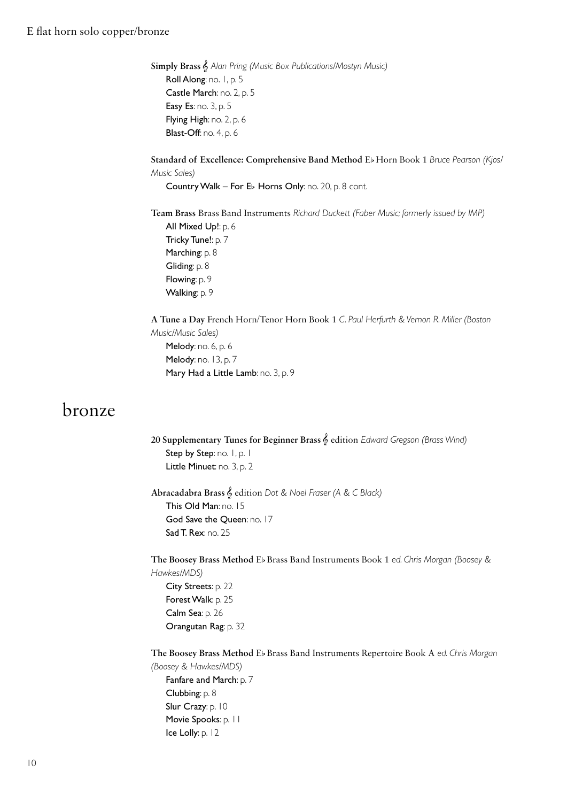**Simply Brass** & *Alan Pring (Music Box Publications/Mostyn Music)* Roll Along: no. 1, p. 5 Castle March: no. 2, p. 5 Easy Es: no. 3, p. 5 Flying High: no. 2, p. 6 Blast-Off: no. 4, p. 6

 **Standard of Excellence: Comprehensive Band Method** Eb Horn Book 1 *Bruce Pearson (Kjos/ Music Sales)*

Country Walk – For Eb Horns Only: no. 20, p. 8 cont.

 **Team Brass** Brass Band Instruments *Richard Duckett (Faber Music; formerly issued by IMP)* All Mixed Up!: p. 6 Tricky Tune!: p. 7 Marching: p. 8 Gliding: p. 8 Flowing: p. 9 Walking: p. 9

 **A Tune a Day** French Horn/Tenor Horn Book 1 *C. Paul Herfurth & Vernon R. Miller (Boston Music/Music Sales)* Melody: no. 6, p. 6 Melody: no. 13, p. 7 Mary Had a Little Lamb: no. 3, p. 9

### bronze

 **20 Supplementary Tunes for Beginner Brass** & edition *Edward Gregson (Brass Wind)* Step by Step: no. 1, p. 1 Little Minuet: no. 3, p. 2

 **Abracadabra Brass** & edition *Dot & Noel Fraser (A & C Black)* This Old Man: no. 15 God Save the Queen: no. 17 **Sad T. Rex: no. 25** 

 **The Boosey Brass Method** Eb Brass Band Instruments Book 1 *ed. Chris Morgan (Boosey & Hawkes/MDS)* City Streets: p. 22

Forest Walk: p. 25 Calm Sea: p. 26 Orangutan Rag: p. 32

 **The Boosey Brass Method** Eb Brass Band Instruments Repertoire Book A *ed. Chris Morgan (Boosey & Hawkes/MDS)*

 Fanfare and March: p. 7 Clubbing: p. 8 Slur Crazy: p. 10 Movie Spooks: p. 11 Ice Lolly: p. 12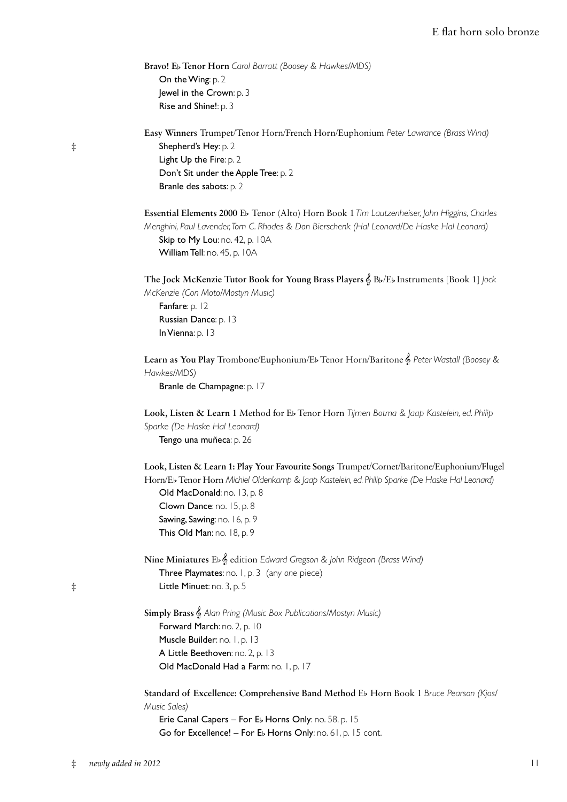### E flat horn solo bronze

|            | Bravo! Eb Tenor Horn Carol Barratt (Boosey & Hawkes/MDS)                                                                       |
|------------|--------------------------------------------------------------------------------------------------------------------------------|
|            | On the Wing p. 2                                                                                                               |
|            | Jewel in the Crown: p. 3                                                                                                       |
|            | Rise and Shine!: p. 3                                                                                                          |
|            | Easy Winners Trumpet/Tenor Horn/French Horn/Euphonium Peter Lawrance (Brass Wind)                                              |
| $\dagger$  | Shepherd's Hey: p. 2                                                                                                           |
|            | Light Up the Fire: p. 2                                                                                                        |
|            | Don't Sit under the Apple Tree: p. 2                                                                                           |
|            | Branle des sabots: p. 2                                                                                                        |
|            | Essential Elements 2000 Eb Tenor (Alto) Horn Book 1 Tim Lautzenheiser, John Higgins, Charles                                   |
|            | Menghini, Paul Lavender, Tom C. Rhodes & Don Bierschenk (Hal Leonard/De Haske Hal Leonard)                                     |
|            | Skip to My Lou: no. 42, p. 10A                                                                                                 |
|            | William Tell: no. 45, p. 10A                                                                                                   |
|            | The Jock McKenzie Tutor Book for Young Brass Players & Bb/Eb Instruments [Book 1] Jock<br>McKenzie (Con Moto/Mostyn Music)     |
|            | Fanfare: p. 12                                                                                                                 |
|            | Russian Dance: p. 13                                                                                                           |
|            | In Vienna: p. 13                                                                                                               |
|            | Learn as You Play Trombone/Euphonium/Eb Tenor Horn/Baritone & Peter Wastall (Boosey &<br>Hawkes/MDS)                           |
|            | Branle de Champagne: p. 17                                                                                                     |
|            | Look, Listen & Learn 1 Method for Eb Tenor Horn Tijmen Botma & Jaap Kastelein, ed. Philip                                      |
|            | Sparke (De Haske Hal Leonard)                                                                                                  |
|            | Tengo una muñeca: p. 26                                                                                                        |
|            | Look, Listen & Learn 1: Play Your Favourite Songs Trumpet/Cornet/Baritone/Euphonium/Flugel                                     |
|            | Horn/Eb Tenor Horn Michiel Oldenkamp & Jaap Kastelein, ed. Philip Sparke (De Haske Hal Leonard)<br>Old MacDonald: no. 13, p. 8 |
|            | Clown Dance: no. 15, p. 8                                                                                                      |
|            | Sawing, Sawing: no. 16, p. 9                                                                                                   |
|            | This Old Man: no. 18, p. 9                                                                                                     |
|            | Nine Miniatures Eb & edition Edward Gregson & John Ridgeon (Brass Wind)                                                        |
|            | Three Playmates: no. 1, p. 3 (any one piece)                                                                                   |
| $\ddagger$ | Little Minuet: no. 3, p. 5                                                                                                     |
|            | Simply Brass & Alan Pring (Music Box Publications/Mostyn Music)                                                                |
|            | Forward March: no. 2, p. 10                                                                                                    |
|            | Muscle Builder: no. 1, p. 13                                                                                                   |
|            | A Little Beethoven: no. 2, p. 13                                                                                               |
|            | Old MacDonald Had a Farm: no. 1, p. 17                                                                                         |
|            | Standard of Excellence: Comprehensive Band Method Eb Horn Book 1 Bruce Pearson (Kjos/<br>Music Sales)                          |
|            | Erie Canal Capers - For Eb Horns Only: no. 58, p. 15                                                                           |
|            | Go for Excellence! - For Eb Horns Only: no. 61, p. 15 cont.                                                                    |
|            |                                                                                                                                |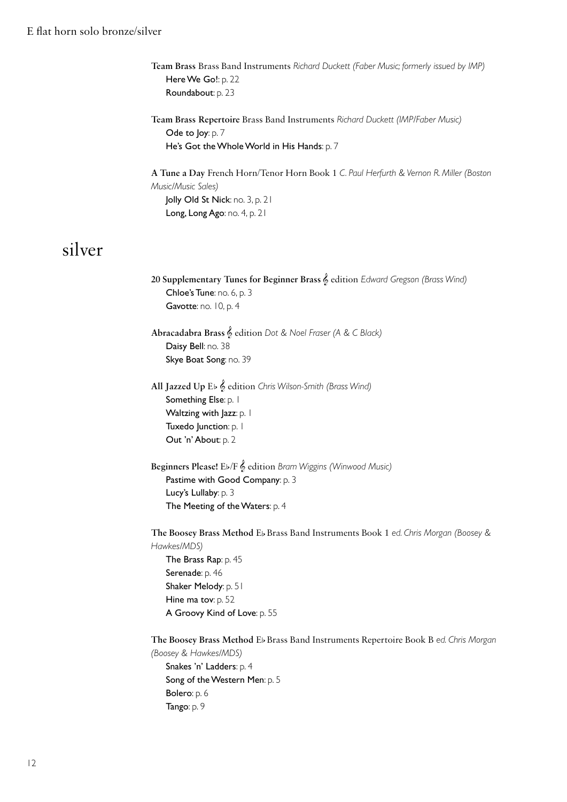**Team Brass** Brass Band Instruments *Richard Duckett (Faber Music; formerly issued by IMP)* Here We Go!: p. 22 Roundabout: p. 23

 **Team Brass Repertoire** Brass Band Instruments *Richard Duckett (IMP/Faber Music)* Ode to Joy: p. 7 He's Got the Whole World in His Hands: p. 7

 **A Tune a Day** French Horn/Tenor Horn Book 1 *C. Paul Herfurth & Vernon R. Miller (Boston Music/Music Sales)*

Jolly Old St Nick: no. 3, p. 21 Long, Long Ago: no. 4, p. 21

## silver

 **20 Supplementary Tunes for Beginner Brass** & edition *Edward Gregson (Brass Wind)* Chloe's Tune: no. 6, p. 3 Gavotte: no. 10, p. 4

 **Abracadabra Brass** & edition *Dot & Noel Fraser (A & C Black)* Daisy Bell: no. 38 Skye Boat Song: no. 39

 **All Jazzed Up** Eb & edition *Chris Wilson-Smith (Brass Wind)* Something Else: p. 1 Waltzing with Jazz: p. 1 Tuxedo Junction: p. 1 Out 'n' About: p. 2

 **Beginners Please!** Eb/F & edition *Bram Wiggins (Winwood Music)* Pastime with Good Company: p. 3 Lucy's Lullaby: p. 3 The Meeting of the Waters: p. 4

 **The Boosey Brass Method** Eb Brass Band Instruments Book 1 *ed. Chris Morgan (Boosey & Hawkes/MDS)* The Brass Rap: p. 45 Serenade: p. 46 Shaker Melody: p. 51 Hine ma tov: p. 52 A Groovy Kind of Love: p. 55

 **The Boosey Brass Method** Eb Brass Band Instruments Repertoire Book B *ed. Chris Morgan (Boosey & Hawkes/MDS)* Snakes 'n' Ladders: p. 4 Song of the Western Men: p. 5 Bolero: p. 6 Tango: p. 9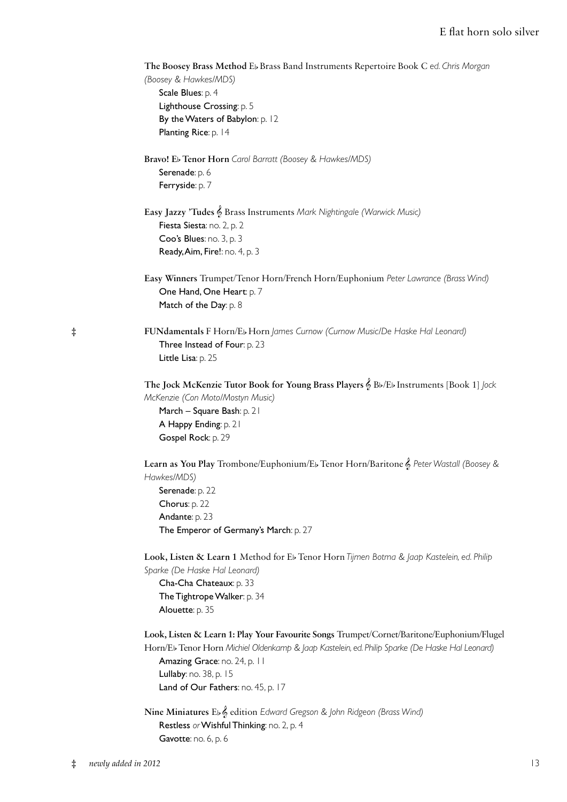|            | The Boosey Brass Method Eb Brass Band Instruments Repertoire Book C ed. Chris Morgan<br>(Boosey & Hawkes/MDS)<br>Scale Blues: p. 4<br>Lighthouse Crossing: p. 5<br>By the Waters of Babylon: p. 12<br>Planting Rice: p. 14                                                                    |
|------------|-----------------------------------------------------------------------------------------------------------------------------------------------------------------------------------------------------------------------------------------------------------------------------------------------|
|            | Bravo! Eb Tenor Horn Carol Barratt (Boosey & Hawkes/MDS)<br>Serenade: p. 6<br>Ferryside: p. 7                                                                                                                                                                                                 |
|            | Easy Jazzy 'Tudes & Brass Instruments Mark Nightingale (Warwick Music)<br>Fiesta Siesta: no. 2, p. 2<br>Coo's Blues: no. 3, p. 3<br>Ready, Aim, Fire!: no. 4, p. 3                                                                                                                            |
|            | Easy Winners Trumpet/Tenor Horn/French Horn/Euphonium Peter Lawrance (Brass Wind)<br>One Hand, One Heart: p. 7<br>Match of the Day: p. 8                                                                                                                                                      |
| $\ddagger$ | FUNdamentals F Horn/Eb Horn James Curnow (Curnow Music/De Haske Hal Leonard)<br>Three Instead of Four: p. 23<br>Little Lisa: p. 25                                                                                                                                                            |
|            | The Jock McKenzie Tutor Book for Young Brass Players & Bb/Eb Instruments [Book 1] Jock<br>McKenzie (Con Moto/Mostyn Music)<br>March - Square Bash: p. 21<br>A Happy Ending: p. 21<br>Gospel Rock: p. 29                                                                                       |
|            | Learn as You Play Trombone/Euphonium/Eb Tenor Horn/Baritone & Peter Wastall (Boosey &<br>Hawkes/MDS)<br>Serenade: p. 22<br>Chorus: p. 22<br>Andante: p. 23<br>The Emperor of Germany's March: p. 27                                                                                           |
|            | Look, Listen & Learn 1 Method for Eb Tenor Horn Tijmen Botma & Jaap Kastelein, ed. Philip<br>Sparke (De Haske Hal Leonard)<br>Cha-Cha Chateaux: p. 33<br>The Tightrope Walker: p. 34<br>Alouette: p. 35                                                                                       |
|            | Look, Listen & Learn 1: Play Your Favourite Songs Trumpet/Cornet/Baritone/Euphonium/Flugel<br>Horn/Eb Tenor Horn Michiel Oldenkamp & Jaap Kastelein, ed. Philip Sparke (De Haske Hal Leonard)<br>Amazing Grace: no. 24, p. 11<br>Lullaby: no. 38, p. 15<br>Land of Our Fathers: no. 45, p. 17 |
|            | Nine Miniatures Eb & edition Edward Gregson & John Ridgeon (Brass Wind)<br>Restless or Wishful Thinking: no. 2, p. 4<br>Gavotte: no. 6, p. 6                                                                                                                                                  |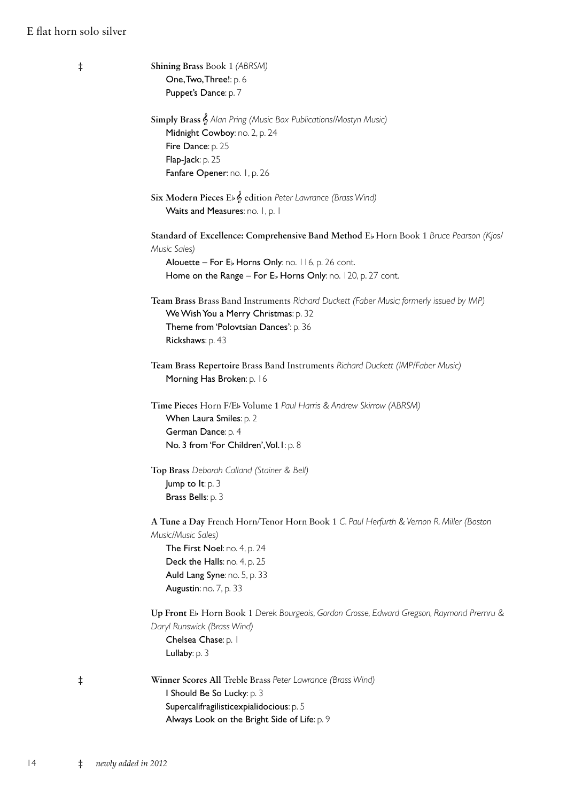### E flat horn solo silver

| Shining Brass Book 1 (ABRSM)<br>$\ddagger$                                               |  |
|------------------------------------------------------------------------------------------|--|
| One, Two, Three!: p. 6                                                                   |  |
| Puppet's Dance: p. 7                                                                     |  |
|                                                                                          |  |
| Simply Brass & Alan Pring (Music Box Publications/Mostyn Music)                          |  |
| Midnight Cowboy: no. 2, p. 24                                                            |  |
| Fire Dance: p. 25                                                                        |  |
| Flap-Jack: p. 25                                                                         |  |
| Fanfare Opener: no. 1, p. 26                                                             |  |
| Six Modern Pieces Eb & edition Peter Lawrance (Brass Wind)                               |  |
| Waits and Measures: no. 1, p. 1                                                          |  |
|                                                                                          |  |
| Standard of Excellence: Comprehensive Band Method Eb Horn Book 1 Bruce Pearson (Kjos/    |  |
| Music Sales)                                                                             |  |
| Alouette - For Eb Horns Only: no. 116, p. 26 cont.                                       |  |
| Home on the Range - For Eb Horns Only: no. 120, p. 27 cont.                              |  |
| Team Brass Brass Band Instruments Richard Duckett (Faber Music; formerly issued by IMP)  |  |
| We Wish You a Merry Christmas: p. 32                                                     |  |
| Theme from 'Polovtsian Dances': p. 36                                                    |  |
|                                                                                          |  |
| Rickshaws: p. 43                                                                         |  |
| Team Brass Repertoire Brass Band Instruments Richard Duckett (IMP/Faber Music)           |  |
| Morning Has Broken: p. 16                                                                |  |
|                                                                                          |  |
| Time Pieces Horn F/Eb Volume 1 Paul Harris & Andrew Skirrow (ABRSM)                      |  |
| When Laura Smiles: p. 2                                                                  |  |
| German Dance: p. 4                                                                       |  |
| No. 3 from 'For Children', Vol. I: p. 8                                                  |  |
|                                                                                          |  |
| Top Brass Deborah Calland (Stainer & Bell)                                               |  |
| <b>Jump to It:</b> $p \cdot 3$                                                           |  |
| Brass Bells: p. 3                                                                        |  |
| A Tune a Day French Horn/Tenor Horn Book 1 C. Paul Herfurth & Vernon R. Miller (Boston   |  |
| Music/Music Sales)                                                                       |  |
| The First Noel: no. 4, p. 24                                                             |  |
| Deck the Halls: no. 4, p. 25                                                             |  |
| Auld Lang Syne: no. 5, p. 33                                                             |  |
| Augustin: no. 7, p. 33                                                                   |  |
|                                                                                          |  |
| Up Front Eb Horn Book 1 Derek Bourgeois, Gordon Crosse, Edward Gregson, Raymond Premru & |  |
| Daryl Runswick (Brass Wind)                                                              |  |
| Chelsea Chase: p. 1                                                                      |  |
| Lullaby: p. 3                                                                            |  |
| Winner Scores All Treble Brass Peter Lawrance (Brass Wind)                               |  |
| $\ddagger$                                                                               |  |
| I Should Be So Lucky: p. 3                                                               |  |
|                                                                                          |  |
| Supercalifragilisticexpialidocious: p. 5<br>Always Look on the Bright Side of Life: p. 9 |  |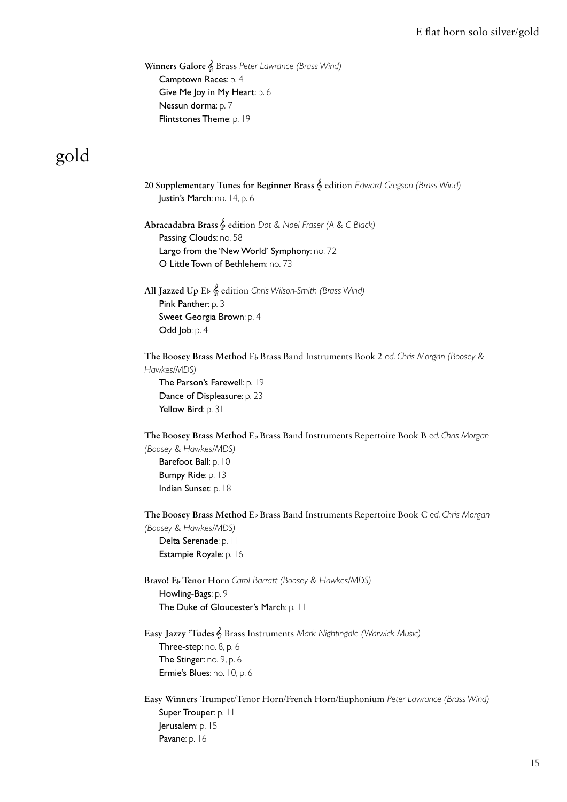#### E flat horn solo silver/gold

 **Winners Galore** & Brass *Peter Lawrance (Brass Wind)* Camptown Races: p. 4 Give Me Joy in My Heart: p. 6 Nessun dorma: p. 7 Flintstones Theme: p. 19

## gold

 **20 Supplementary Tunes for Beginner Brass** & edition *Edward Gregson (Brass Wind)* Justin's March: no. 14, p. 6

 **Abracadabra Brass** & edition *Dot & Noel Fraser (A & C Black)* Passing Clouds: no. 58 Largo from the 'New World' Symphony: no. 72 O Little Town of Bethlehem: no. 73

 **All Jazzed Up** Eb & edition *Chris Wilson-Smith (Brass Wind)* Pink Panther: p. 3 Sweet Georgia Brown: p. 4 Odd Job: p. 4

 **The Boosey Brass Method** Eb Brass Band Instruments Book 2 *ed. Chris Morgan (Boosey & Hawkes/MDS)*

 The Parson's Farewell: p. 19 Dance of Displeasure: p. 23 Yellow Bird: p. 31

 **The Boosey Brass Method** Eb Brass Band Instruments Repertoire Book B *ed. Chris Morgan (Boosey & Hawkes/MDS)*

Barefoot Ball: p. 10 Bumpy Ride: p. 13 Indian Sunset: p. 18

 **The Boosey Brass Method** Eb Brass Band Instruments Repertoire Book C *ed. Chris Morgan (Boosey & Hawkes/MDS)* Delta Serenade: p. 11

Estampie Royale: p. 16

 **Bravo! E**b **Tenor Horn** *Carol Barratt (Boosey & Hawkes/MDS)* Howling-Bags: p. 9 The Duke of Gloucester's March: p. 11

 **Easy Jazzy 'Tudes** & Brass Instruments *Mark Nightingale (Warwick Music)* Three-step: no. 8, p. 6 The Stinger: no. 9, p. 6 Ermie's Blues: no. 10, p. 6

 **Easy Winners** Trumpet/Tenor Horn/French Horn/Euphonium *Peter Lawrance (Brass Wind)* Super Trouper: p. 11 Jerusalem: p. 15 Pavane: p. 16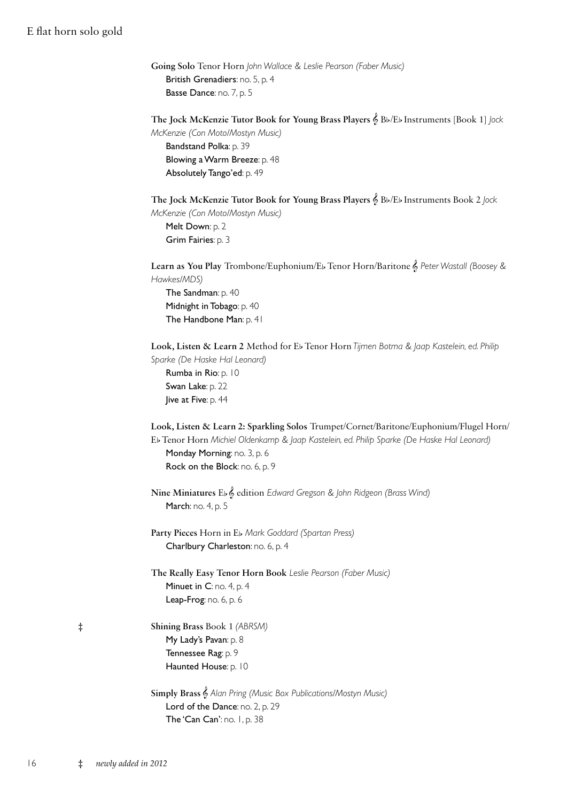### E flat horn solo gold

| Going Solo Tenor Horn John Wallace & Leslie Pearson (Faber Music) |
|-------------------------------------------------------------------|
| <b>British Grenadiers:</b> no. 5, p. 4                            |
| <b>Basse Dance:</b> no. $7$ , p. $5$                              |

 **The Jock McKenzie Tutor Book for Young Brass Players** & Bb/Eb Instruments [Book 1] *Jock McKenzie (Con Moto/Mostyn Music)* Bandstand Polka: p. 39 Blowing a Warm Breeze: p. 48 Absolutely Tango'ed: p. 49

 **The Jock McKenzie Tutor Book for Young Brass Players** & Bb/Eb Instruments Book 2 *Jock McKenzie (Con Moto/Mostyn Music)* Melt Down: p. 2 Grim Fairies: p. 3

 **Learn as You Play** Trombone/Euphonium/Eb Tenor Horn/Baritone & *Peter Wastall (Boosey & Hawkes/MDS)* The Sandman: p. 40 Midnight in Tobago: p. 40

 **Look, Listen & Learn 2** Method for Eb Tenor Horn *Tijmen Botma & Jaap Kastelein, ed. Philip Sparke (De Haske Hal Leonard)*

Rumba in Rio: p. 10 Swan Lake: p. 22 Jive at Five: p. 44

The Handbone Man: p. 41

 **Look, Listen & Learn 2: Sparkling Solos** Trumpet/Cornet/Baritone/Euphonium/Flugel Horn/ EbTenor Horn *Michiel Oldenkamp & Jaap Kastelein, ed. Philip Sparke (De Haske Hal Leonard)*

Monday Morning: no. 3, p. 6 Rock on the Block: no. 6, p. 9

 **Nine Miniatures** Eb& edition *Edward Gregson & John Ridgeon (Brass Wind)* March: no. 4, p. 5

 **Party Pieces** Horn in Eb *Mark Goddard (Spartan Press)* Charlbury Charleston: no. 6, p. 4

 **The Really Easy Tenor Horn Book** *Leslie Pearson (Faber Music)* Minuet in C: no. 4, p. 4 Leap-Frog: no. 6, p. 6

‡ **Shining Brass** Book 1 *(ABRSM)* My Lady's Pavan: p. 8 Tennessee Rag: p. 9 Haunted House: p. 10

> **Simply Brass** & *Alan Pring (Music Box Publications/Mostyn Music)* Lord of the Dance: no. 2, p. 29 The 'Can Can': no. 1, p. 38

| o pro |
|-------|
|       |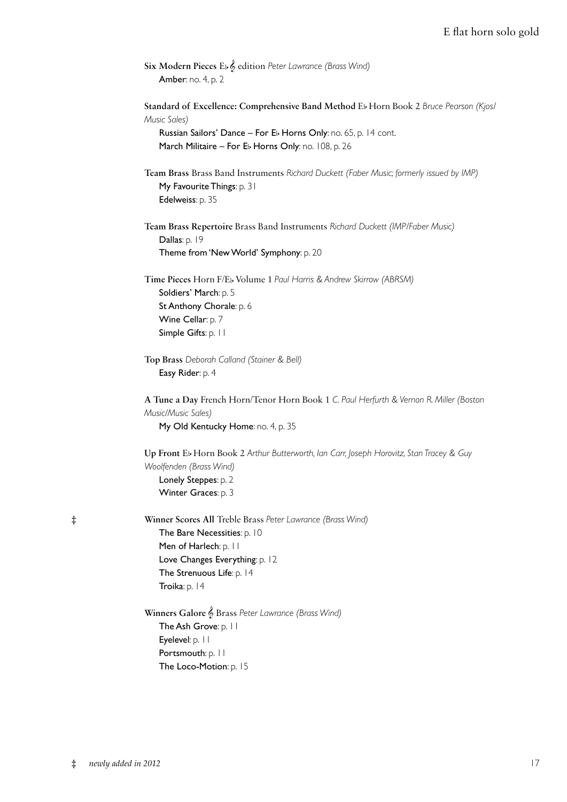|                           | Six Modern Pieces Eb & edition Peter Lawrance (Brass Wind) |
|---------------------------|------------------------------------------------------------|
| <b>Amber:</b> no. 4, p. 2 |                                                            |

 **Standard of Excellence: Comprehensive Band Method** Eb Horn Book 2 *Bruce Pearson (Kjos/ Music Sales)*

 Russian Sailors' Dance – For Eb Horns Only: no. 65, p. 14 cont. March Militaire – For Eb Horns Only: no. 108, p. 26

 **Team Brass** Brass Band Instruments *Richard Duckett (Faber Music; formerly issued by IMP)* My Favourite Things: p. 31 Edelweiss: p. 35

 **Team Brass Repertoire** Brass Band Instruments *Richard Duckett (IMP/Faber Music)* Dallas: p. 19 Theme from 'New World' Symphony: p. 20

 **Time Pieces** Horn F/Eb Volume 1 *Paul Harris & Andrew Skirrow (ABRSM)* Soldiers' March: p. 5 St Anthony Chorale: p. 6 Wine Cellar: p. 7 Simple Gifts: p. 11

```
 Top Brass Deborah Calland (Stainer & Bell)
Easy Rider: p. 4
```
 **A Tune a Day** French Horn/Tenor Horn Book 1 *C. Paul Herfurth & Vernon R. Miller (Boston Music/Music Sales)* My Old Kentucky Home: no. 4, p. 35

 **Up Front** Eb Horn Book 2 *Arthur Butterworth, Ian Carr, Joseph Horovitz, Stan Tracey & Guy Woolfenden (Brass Wind)* Lonely Steppes: p. 2 Winter Graces: p. 3

‡ **Winner Scores All** Treble Brass *Peter Lawrance (Brass Wind)* The Bare Necessities: p. 10 Men of Harlech: p. 11 Love Changes Everything: p. 12 The Strenuous Life: p. 14 Troika: p. 14

> **Winners Galore** & Brass *Peter Lawrance (Brass Wind)* The Ash Grove: p. 11 Eyelevel: p. 11 Portsmouth: p. 11 The Loco-Motion: p. 15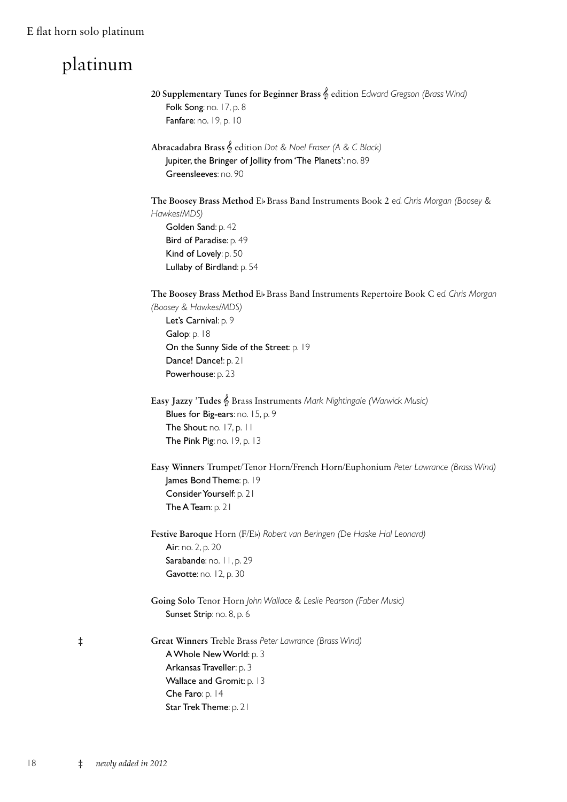### E flat horn solo platinum

# platinum

|            | 20 Supplementary Tunes for Beginner Brass & edition Edward Gregson (Brass Wind)<br>Folk Song: no. 17, p. 8<br>Fanfare: no. 19, p. 10                                                                                                         |
|------------|----------------------------------------------------------------------------------------------------------------------------------------------------------------------------------------------------------------------------------------------|
|            | Abracadabra Brass & edition Dot & Noel Fraser (A & C Black)<br>Jupiter, the Bringer of Jollity from 'The Planets': no. 89<br>Greensleeves: no. 90                                                                                            |
|            | The Boosey Brass Method Eb Brass Band Instruments Book 2 ed. Chris Morgan (Boosey &<br>Hawkes/MDS)<br>Golden Sand: p. 42<br>Bird of Paradise: p. 49<br>Kind of Lovely: p. 50<br>Lullaby of Birdland: p. 54                                   |
|            | The Boosey Brass Method Eb Brass Band Instruments Repertoire Book C ed. Chris Morgan<br>(Boosey & Hawkes/MDS)<br>Let's Carnival: p. 9<br>Galop: p. 18<br>On the Sunny Side of the Street: p. 19<br>Dance! Dance!: p. 21<br>Powerhouse: p. 23 |
|            | Easy Jazzy 'Tudes & Brass Instruments Mark Nightingale (Warwick Music)<br>Blues for Big-ears: no. 15, p. 9<br>The Shout: no. 17, p. 11<br>The Pink Pig: no. 19, p. 13                                                                        |
|            | Easy Winners Trumpet/Tenor Horn/French Horn/Euphonium Peter Lawrance (Brass Wind)<br>James Bond Theme: p. 19<br>Consider Yourself: p. 21<br>The A Team: p. 21                                                                                |
|            | Festive Baroque Horn (F/Eb) Robert van Beringen (De Haske Hal Leonard)<br>Air: no. 2, p. 20<br>Sarabande: no. 11, p. 29<br>Gavotte: no. 12, p. 30                                                                                            |
|            | Going Solo Tenor Horn John Wallace & Leslie Pearson (Faber Music)<br>Sunset Strip: no. 8, p. 6                                                                                                                                               |
| $\ddagger$ | Great Winners Treble Brass Peter Lawrance (Brass Wind)<br>A Whole New World: p. 3<br>Arkansas Traveller: p. 3<br>Wallace and Gromit: p. 13<br>Che Faro: p. 14<br>Star Trek Theme: p. 21                                                      |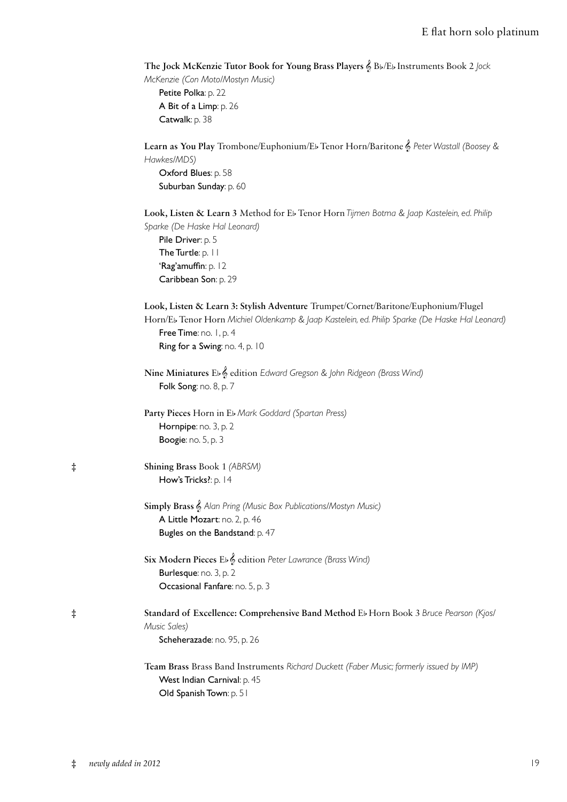#### E flat horn solo platinum

**The Jock McKenzie Tutor Book for Young Brass Players** & Bb/Eb Instruments Book 2 *Jock* 

*McKenzie (Con Moto/Mostyn Music)* Petite Polka: p. 22 A Bit of a Limp: p. 26 Catwalk: p. 38

 **Learn as You Play** Trombone/Euphonium/Eb Tenor Horn/Baritone & *Peter Wastall (Boosey & Hawkes/MDS)* Oxford Blues: p. 58 Suburban Sunday: p. 60 **Look, Listen & Learn 3** Method for Eb Tenor Horn *Tijmen Botma & Jaap Kastelein, ed. Philip* 

*Sparke (De Haske Hal Leonard)* Pile Driver: p. 5 The Turtle: p. 11 'Rag'amuffin: p. 12 Caribbean Son: p. 29

| Look, Listen & Learn 3: Stylish Adventure Trumpet/Cornet/Baritone/Euphonium/Flugel              |
|-------------------------------------------------------------------------------------------------|
| Horn/Eb Tenor Horn Michiel Oldenkamp & Jaap Kastelein, ed. Philip Sparke (De Haske Hal Leonard) |
| <b>Free Time:</b> no. $1$ , p. 4                                                                |
| <b>Ring for a Swing:</b> no. 4, p. $10$                                                         |

 **Nine Miniatures** Eb& edition *Edward Gregson & John Ridgeon (Brass Wind)* Folk Song: no. 8, p. 7

 **Party Pieces** Horn in Eb*Mark Goddard (Spartan Press)* Hornpipe: no. 3, p. 2 Boogie: no. 5, p. 3

‡ **Shining Brass** Book 1 *(ABRSM)* How's Tricks?: p. 14

> **Simply Brass** & *Alan Pring (Music Box Publications/Mostyn Music)* A Little Mozart: no. 2, p. 46 Bugles on the Bandstand: p. 47

 **Six Modern Pieces** Eb& edition *Peter Lawrance (Brass Wind)* Burlesque: no. 3, p. 2 Occasional Fanfare: no. 5, p. 3

‡ **Standard of Excellence: Comprehensive Band Method** Eb Horn Book 3 *Bruce Pearson (Kjos/ Music Sales)* Scheherazade: no. 95, p. 26

> **Team Brass** Brass Band Instruments *Richard Duckett (Faber Music; formerly issued by IMP)* West Indian Carnival: p. 45 Old Spanish Town: p. 51